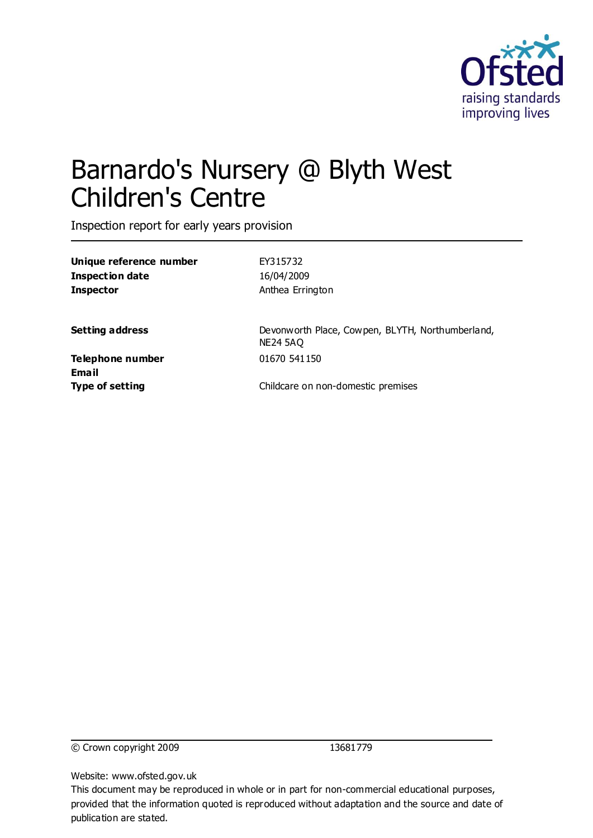

# Barnardo's Nursery @ Blyth West Children's Centre

Inspection report for early years provision

| Unique reference number   | EY315732                                                            |
|---------------------------|---------------------------------------------------------------------|
| <b>Inspection date</b>    | 16/04/2009                                                          |
| <b>Inspector</b>          | Anthea Errington                                                    |
| <b>Setting address</b>    | Devonworth Place, Cowpen, BLYTH, Northumberland,<br><b>NE24 5AQ</b> |
| Telephone number<br>Email | 01670 541150                                                        |
| <b>Type of setting</b>    | Childcare on non-domestic premises                                  |
|                           |                                                                     |

© Crown copyright 2009 13681779

Website: www.ofsted.gov.uk

This document may be reproduced in whole or in part for non-commercial educational purposes, provided that the information quoted is reproduced without adaptation and the source and date of publication are stated.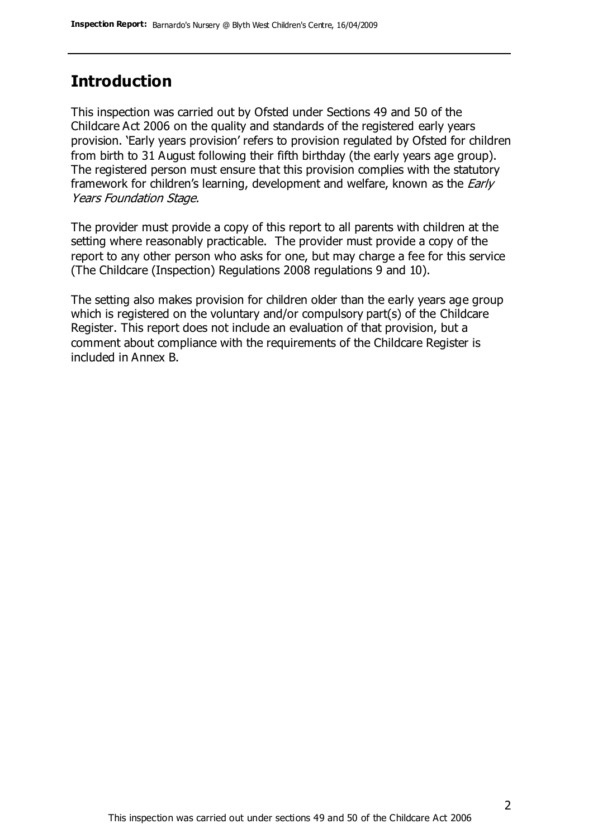### **Introduction**

This inspection was carried out by Ofsted under Sections 49 and 50 of the Childcare Act 2006 on the quality and standards of the registered early years provision. 'Early years provision' refers to provision regulated by Ofsted for children from birth to 31 August following their fifth birthday (the early years age group). The registered person must ensure that this provision complies with the statutory framework for children's learning, development and welfare, known as the *Early* Years Foundation Stage.

The provider must provide a copy of this report to all parents with children at the setting where reasonably practicable. The provider must provide a copy of the report to any other person who asks for one, but may charge a fee for this service (The Childcare (Inspection) Regulations 2008 regulations 9 and 10).

The setting also makes provision for children older than the early years age group which is registered on the voluntary and/or compulsory part(s) of the Childcare Register. This report does not include an evaluation of that provision, but a comment about compliance with the requirements of the Childcare Register is included in Annex B.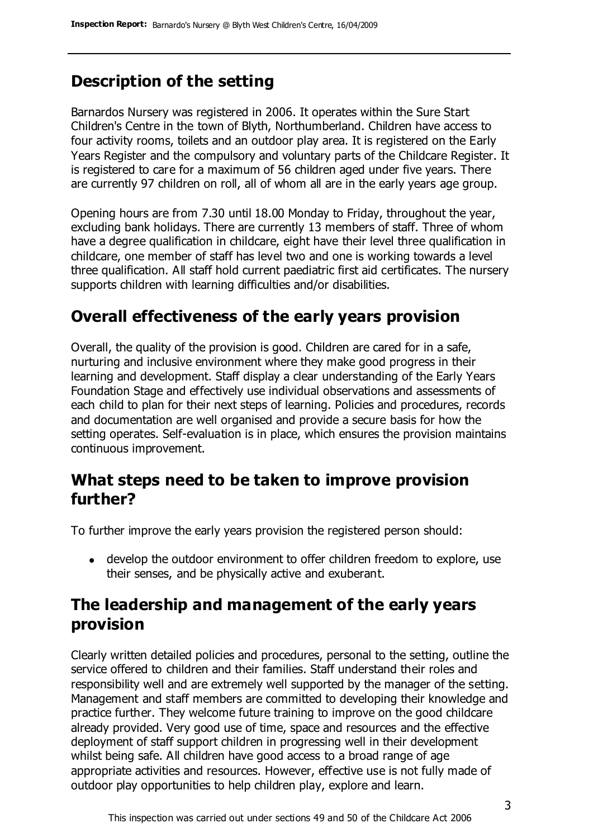### **Description of the setting**

Barnardos Nursery was registered in 2006. It operates within the Sure Start Children's Centre in the town of Blyth, Northumberland. Children have access to four activity rooms, toilets and an outdoor play area. It is registered on the Early Years Register and the compulsory and voluntary parts of the Childcare Register. It is registered to care for a maximum of 56 children aged under five years. There are currently 97 children on roll, all of whom all are in the early years age group.

Opening hours are from 7.30 until 18.00 Monday to Friday, throughout the year, excluding bank holidays. There are currently 13 members of staff. Three of whom have a degree qualification in childcare, eight have their level three qualification in childcare, one member of staff has level two and one is working towards a level three qualification. All staff hold current paediatric first aid certificates. The nursery supports children with learning difficulties and/or disabilities.

#### **Overall effectiveness of the early years provision**

Overall, the quality of the provision is good. Children are cared for in a safe, nurturing and inclusive environment where they make good progress in their learning and development. Staff display a clear understanding of the Early Years Foundation Stage and effectively use individual observations and assessments of each child to plan for their next steps of learning. Policies and procedures, records and documentation are well organised and provide a secure basis for how the setting operates. Self-evaluation is in place, which ensures the provision maintains continuous improvement.

#### **What steps need to be taken to improve provision further?**

To further improve the early years provision the registered person should:

develop the outdoor environment to offer children freedom to explore, use their senses, and be physically active and exuberant.

#### **The leadership and management of the early years provision**

Clearly written detailed policies and procedures, personal to the setting, outline the service offered to children and their families. Staff understand their roles and responsibility well and are extremely well supported by the manager of the setting. Management and staff members are committed to developing their knowledge and practice further. They welcome future training to improve on the good childcare already provided. Very good use of time, space and resources and the effective deployment of staff support children in progressing well in their development whilst being safe. All children have good access to a broad range of age appropriate activities and resources. However, effective use is not fully made of outdoor play opportunities to help children play, explore and learn.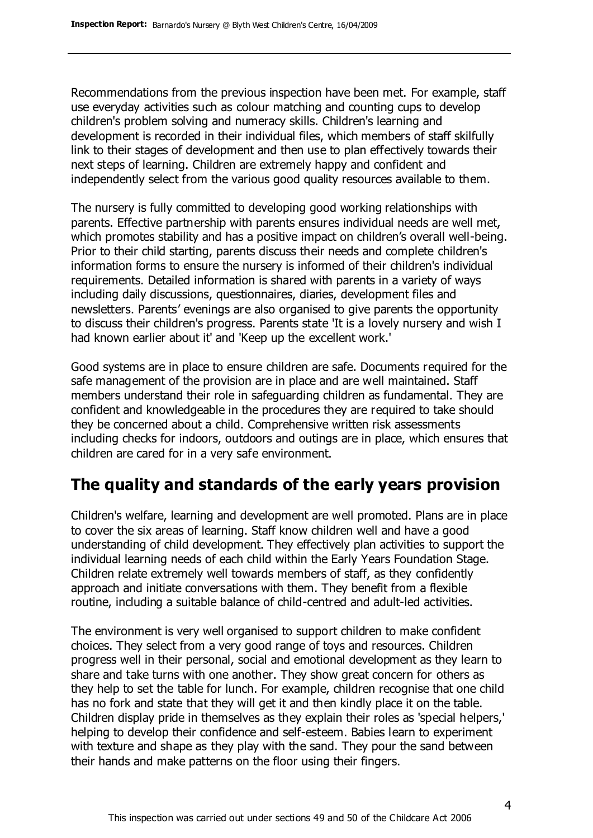Recommendations from the previous inspection have been met. For example, staff use everyday activities such as colour matching and counting cups to develop children's problem solving and numeracy skills. Children's learning and development is recorded in their individual files, which members of staff skilfully link to their stages of development and then use to plan effectively towards their next steps of learning. Children are extremely happy and confident and independently select from the various good quality resources available to them.

The nursery is fully committed to developing good working relationships with parents. Effective partnership with parents ensures individual needs are well met, which promotes stability and has a positive impact on children's overall well-being. Prior to their child starting, parents discuss their needs and complete children's information forms to ensure the nursery is informed of their children's individual requirements. Detailed information is shared with parents in a variety of ways including daily discussions, questionnaires, diaries, development files and newsletters. Parents' evenings are also organised to give parents the opportunity to discuss their children's progress. Parents state 'It is a lovely nursery and wish I had known earlier about it' and 'Keep up the excellent work.'

Good systems are in place to ensure children are safe. Documents required for the safe management of the provision are in place and are well maintained. Staff members understand their role in safeguarding children as fundamental. They are confident and knowledgeable in the procedures they are required to take should they be concerned about a child. Comprehensive written risk assessments including checks for indoors, outdoors and outings are in place, which ensures that children are cared for in a very safe environment.

## **The quality and standards of the early years provision**

Children's welfare, learning and development are well promoted. Plans are in place to cover the six areas of learning. Staff know children well and have a good understanding of child development. They effectively plan activities to support the individual learning needs of each child within the Early Years Foundation Stage. Children relate extremely well towards members of staff, as they confidently approach and initiate conversations with them. They benefit from a flexible routine, including a suitable balance of child-centred and adult-led activities.

The environment is very well organised to support children to make confident choices. They select from a very good range of toys and resources. Children progress well in their personal, social and emotional development as they learn to share and take turns with one another. They show great concern for others as they help to set the table for lunch. For example, children recognise that one child has no fork and state that they will get it and then kindly place it on the table. Children display pride in themselves as they explain their roles as 'special helpers,' helping to develop their confidence and self-esteem. Babies learn to experiment with texture and shape as they play with the sand. They pour the sand between their hands and make patterns on the floor using their fingers.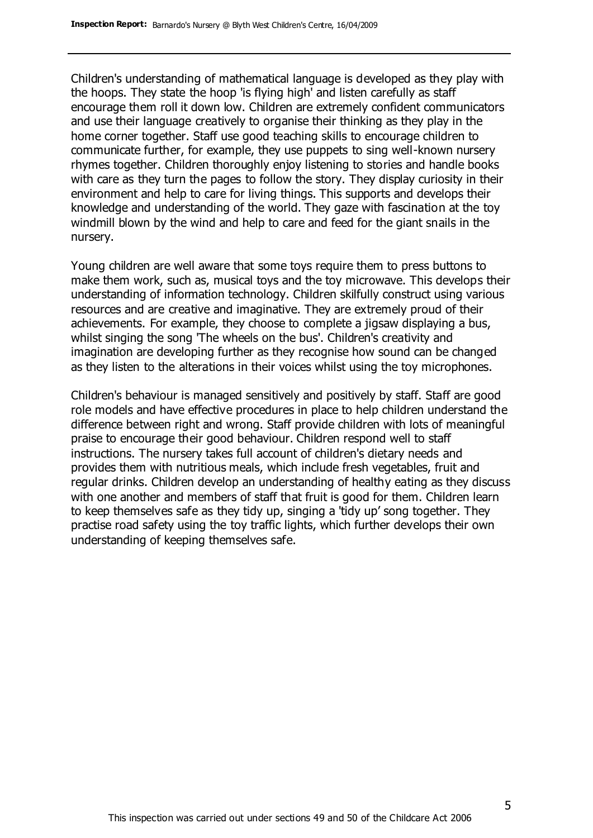Children's understanding of mathematical language is developed as they play with the hoops. They state the hoop 'is flying high' and listen carefully as staff encourage them roll it down low. Children are extremely confident communicators and use their language creatively to organise their thinking as they play in the home corner together. Staff use good teaching skills to encourage children to communicate further, for example, they use puppets to sing well-known nursery rhymes together. Children thoroughly enjoy listening to stories and handle books with care as they turn the pages to follow the story. They display curiosity in their environment and help to care for living things. This supports and develops their knowledge and understanding of the world. They gaze with fascination at the toy windmill blown by the wind and help to care and feed for the giant snails in the nursery.

Young children are well aware that some toys require them to press buttons to make them work, such as, musical toys and the toy microwave. This develops their understanding of information technology. Children skilfully construct using various resources and are creative and imaginative. They are extremely proud of their achievements. For example, they choose to complete a jigsaw displaying a bus, whilst singing the song 'The wheels on the bus'. Children's creativity and imagination are developing further as they recognise how sound can be changed as they listen to the alterations in their voices whilst using the toy microphones.

Children's behaviour is managed sensitively and positively by staff. Staff are good role models and have effective procedures in place to help children understand the difference between right and wrong. Staff provide children with lots of meaningful praise to encourage their good behaviour. Children respond well to staff instructions. The nursery takes full account of children's dietary needs and provides them with nutritious meals, which include fresh vegetables, fruit and regular drinks. Children develop an understanding of healthy eating as they discuss with one another and members of staff that fruit is good for them. Children learn to keep themselves safe as they tidy up, singing a 'tidy up' song together. They practise road safety using the toy traffic lights, which further develops their own understanding of keeping themselves safe.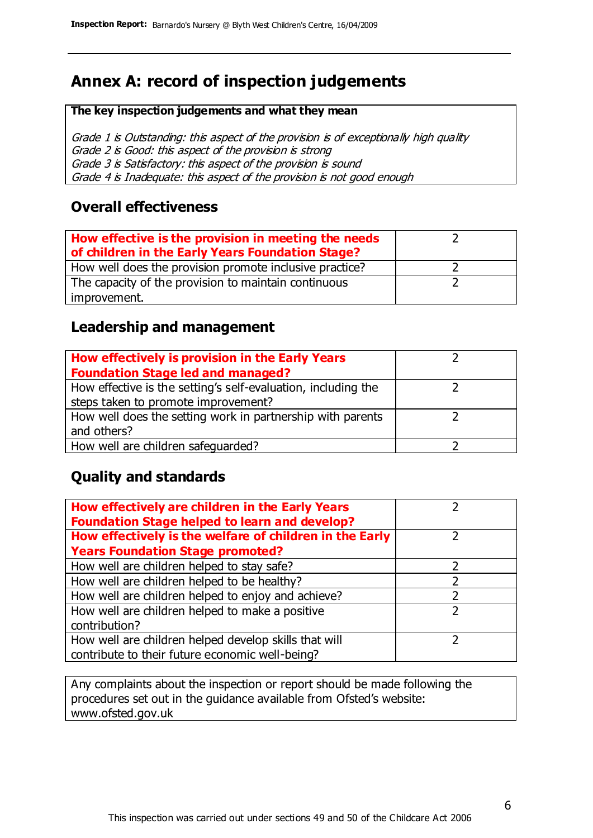# **Annex A: record of inspection judgements**

#### **The key inspection judgements and what they mean**

Grade 1 is Outstanding: this aspect of the provision is of exceptionally high quality Grade 2 is Good: this aspect of the provision is strong Grade 3 is Satisfactory: this aspect of the provision is sound Grade 4 is Inadequate: this aspect of the provision is not good enough

#### **Overall effectiveness**

| How effective is the provision in meeting the needs<br>of children in the Early Years Foundation Stage? |  |
|---------------------------------------------------------------------------------------------------------|--|
| How well does the provision promote inclusive practice?                                                 |  |
| The capacity of the provision to maintain continuous                                                    |  |
| improvement.                                                                                            |  |

#### **Leadership and management**

| How effectively is provision in the Early Years               |  |
|---------------------------------------------------------------|--|
| <b>Foundation Stage led and managed?</b>                      |  |
| How effective is the setting's self-evaluation, including the |  |
| steps taken to promote improvement?                           |  |
| How well does the setting work in partnership with parents    |  |
| and others?                                                   |  |
| How well are children safequarded?                            |  |

#### **Quality and standards**

| How effectively are children in the Early Years<br><b>Foundation Stage helped to learn and develop?</b> |   |
|---------------------------------------------------------------------------------------------------------|---|
| How effectively is the welfare of children in the Early                                                 |   |
| <b>Years Foundation Stage promoted?</b>                                                                 |   |
| How well are children helped to stay safe?                                                              |   |
| How well are children helped to be healthy?                                                             |   |
| How well are children helped to enjoy and achieve?                                                      | 2 |
| How well are children helped to make a positive                                                         | っ |
| contribution?                                                                                           |   |
| How well are children helped develop skills that will                                                   |   |
| contribute to their future economic well-being?                                                         |   |

Any complaints about the inspection or report should be made following the procedures set out in the guidance available from Ofsted's website: www.ofsted.gov.uk